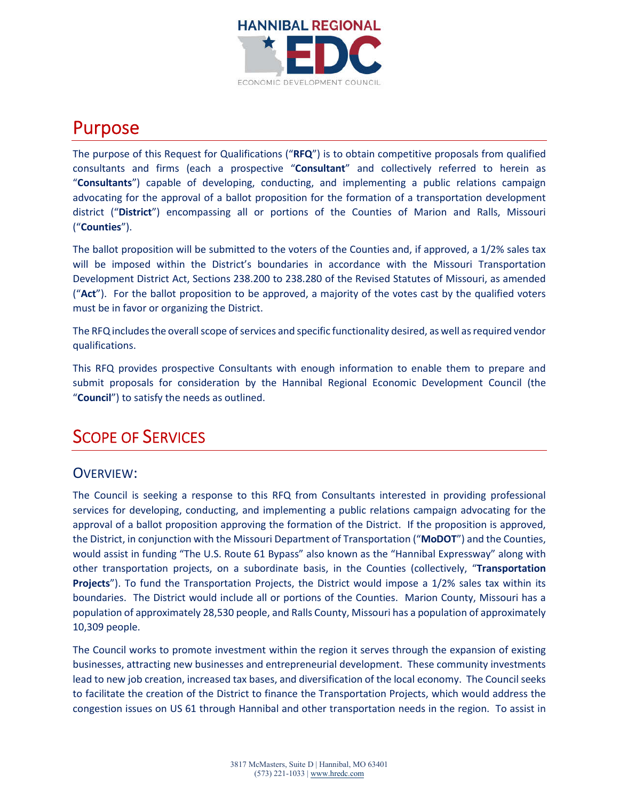

# Purpose

The purpose of this Request for Qualifications ("**RFQ**") is to obtain competitive proposals from qualified consultants and firms (each a prospective "**Consultant**" and collectively referred to herein as "**Consultants**") capable of developing, conducting, and implementing a public relations campaign advocating for the approval of a ballot proposition for the formation of a transportation development district ("**District**") encompassing all or portions of the Counties of Marion and Ralls, Missouri ("**Counties**").

The ballot proposition will be submitted to the voters of the Counties and, if approved, a 1/2% sales tax will be imposed within the District's boundaries in accordance with the Missouri Transportation Development District Act, Sections 238.200 to 238.280 of the Revised Statutes of Missouri, as amended ("**Act**"). For the ballot proposition to be approved, a majority of the votes cast by the qualified voters must be in favor or organizing the District.

The RFQ includes the overall scope of services and specific functionality desired, as well as required vendor qualifications.

This RFQ provides prospective Consultants with enough information to enable them to prepare and submit proposals for consideration by the Hannibal Regional Economic Development Council (the "**Council**") to satisfy the needs as outlined.

# SCOPE OF SERVICES

## OVERVIEW:

The Council is seeking a response to this RFQ from Consultants interested in providing professional services for developing, conducting, and implementing a public relations campaign advocating for the approval of a ballot proposition approving the formation of the District. If the proposition is approved, the District, in conjunction with the Missouri Department of Transportation ("**MoDOT**") and the Counties, would assist in funding "The U.S. Route 61 Bypass" also known as the "Hannibal Expressway" along with other transportation projects, on a subordinate basis, in the Counties (collectively, "**Transportation Projects**"). To fund the Transportation Projects, the District would impose a 1/2% sales tax within its boundaries. The District would include all or portions of the Counties. Marion County, Missouri has a population of approximately 28,530 people, and Ralls County, Missouri has a population of approximately 10,309 people.

The Council works to promote investment within the region it serves through the expansion of existing businesses, attracting new businesses and entrepreneurial development. These community investments lead to new job creation, increased tax bases, and diversification of the local economy. The Council seeks to facilitate the creation of the District to finance the Transportation Projects, which would address the congestion issues on US 61 through Hannibal and other transportation needs in the region. To assist in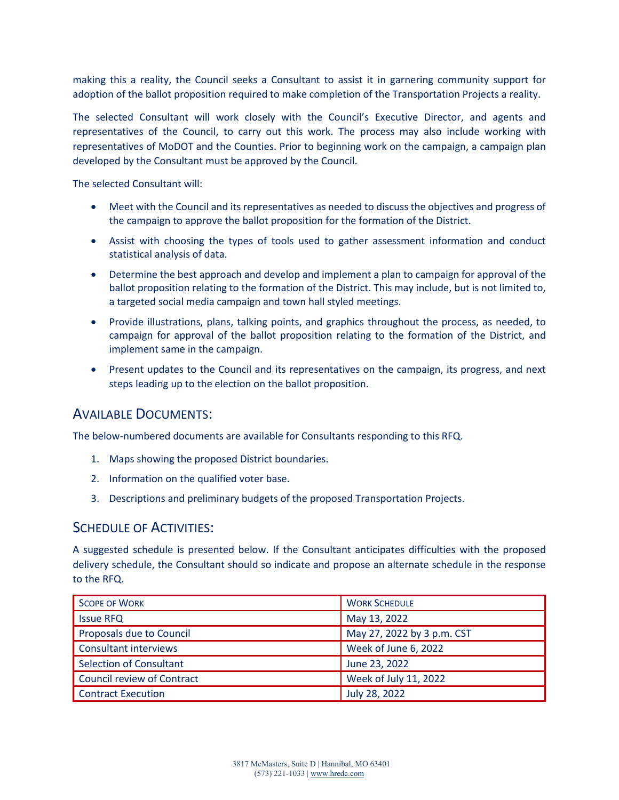making this a reality, the Council seeks a Consultant to assist it in garnering community support for adoption of the ballot proposition required to make completion of the Transportation Projects a reality.

The selected Consultant will work closely with the Council's Executive Director, and agents and representatives of the Council, to carry out this work. The process may also include working with representatives of MoDOT and the Counties. Prior to beginning work on the campaign, a campaign plan developed by the Consultant must be approved by the Council.

The selected Consultant will:

- Meet with the Council and its representatives as needed to discuss the objectives and progress of the campaign to approve the ballot proposition for the formation of the District.
- Assist with choosing the types of tools used to gather assessment information and conduct statistical analysis of data.
- Determine the best approach and develop and implement a plan to campaign for approval of the ballot proposition relating to the formation of the District. This may include, but is not limited to, a targeted social media campaign and town hall styled meetings.
- Provide illustrations, plans, talking points, and graphics throughout the process, as needed, to campaign for approval of the ballot proposition relating to the formation of the District, and implement same in the campaign.
- Present updates to the Council and its representatives on the campaign, its progress, and next steps leading up to the election on the ballot proposition.

#### AVAILABLE DOCUMENTS:

The below-numbered documents are available for Consultants responding to this RFQ.

- 1. Maps showing the proposed District boundaries.
- 2. Information on the qualified voter base.
- 3. Descriptions and preliminary budgets of the proposed Transportation Projects.

#### SCHEDULE OF ACTIVITIES:

A suggested schedule is presented below. If the Consultant anticipates difficulties with the proposed delivery schedule, the Consultant should so indicate and propose an alternate schedule in the response to the RFQ.

| <b>SCOPE OF WORK</b>              | <b>WORK SCHEDULE</b>       |
|-----------------------------------|----------------------------|
| <b>Issue RFQ</b>                  | May 13, 2022               |
| Proposals due to Council          | May 27, 2022 by 3 p.m. CST |
| <b>Consultant interviews</b>      | Week of June 6, 2022       |
| <b>Selection of Consultant</b>    | June 23, 2022              |
| <b>Council review of Contract</b> | Week of July 11, 2022      |
| <b>Contract Execution</b>         | July 28, 2022              |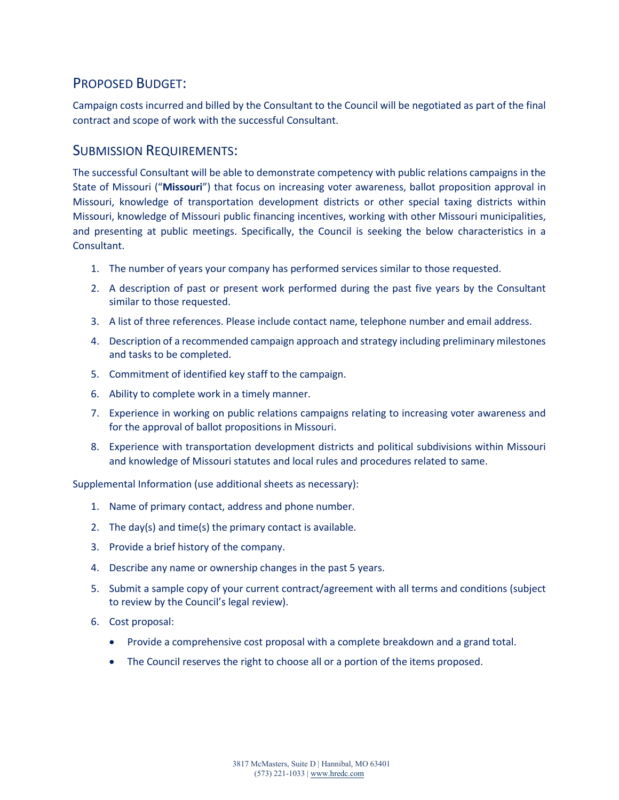## PROPOSED BUDGET:

Campaign costs incurred and billed by the Consultant to the Council will be negotiated as part of the final contract and scope of work with the successful Consultant.

#### SUBMISSION REQUIREMENTS:

The successful Consultant will be able to demonstrate competency with public relations campaigns in the State of Missouri ("**Missouri**") that focus on increasing voter awareness, ballot proposition approval in Missouri, knowledge of transportation development districts or other special taxing districts within Missouri, knowledge of Missouri public financing incentives, working with other Missouri municipalities, and presenting at public meetings. Specifically, the Council is seeking the below characteristics in a Consultant.

- 1. The number of years your company has performed services similar to those requested.
- 2. A description of past or present work performed during the past five years by the Consultant similar to those requested.
- 3. A list of three references. Please include contact name, telephone number and email address.
- 4. Description of a recommended campaign approach and strategy including preliminary milestones and tasks to be completed.
- 5. Commitment of identified key staff to the campaign.
- 6. Ability to complete work in a timely manner.
- 7. Experience in working on public relations campaigns relating to increasing voter awareness and for the approval of ballot propositions in Missouri.
- 8. Experience with transportation development districts and political subdivisions within Missouri and knowledge of Missouri statutes and local rules and procedures related to same.

Supplemental Information (use additional sheets as necessary):

- 1. Name of primary contact, address and phone number.
- 2. The day(s) and time(s) the primary contact is available.
- 3. Provide a brief history of the company.
- 4. Describe any name or ownership changes in the past 5 years.
- 5. Submit a sample copy of your current contract/agreement with all terms and conditions (subject to review by the Council's legal review).
- 6. Cost proposal:
	- Provide a comprehensive cost proposal with a complete breakdown and a grand total.
	- The Council reserves the right to choose all or a portion of the items proposed.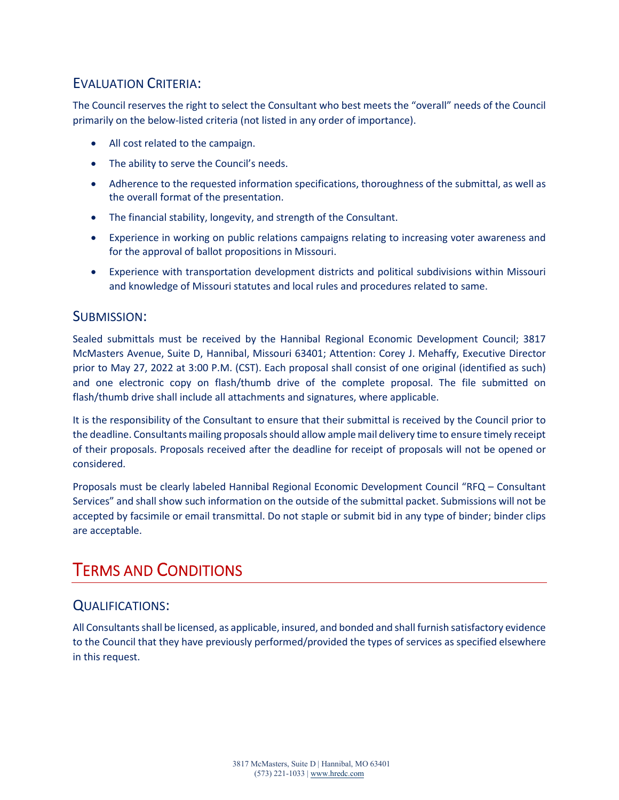## EVALUATION CRITERIA:

The Council reserves the right to select the Consultant who best meets the "overall" needs of the Council primarily on the below-listed criteria (not listed in any order of importance).

- All cost related to the campaign.
- The ability to serve the Council's needs.
- Adherence to the requested information specifications, thoroughness of the submittal, as well as the overall format of the presentation.
- The financial stability, longevity, and strength of the Consultant.
- Experience in working on public relations campaigns relating to increasing voter awareness and for the approval of ballot propositions in Missouri.
- Experience with transportation development districts and political subdivisions within Missouri and knowledge of Missouri statutes and local rules and procedures related to same.

#### SUBMISSION:

Sealed submittals must be received by the Hannibal Regional Economic Development Council; 3817 McMasters Avenue, Suite D, Hannibal, Missouri 63401; Attention: Corey J. Mehaffy, Executive Director prior to May 27, 2022 at 3:00 P.M. (CST). Each proposal shall consist of one original (identified as such) and one electronic copy on flash/thumb drive of the complete proposal. The file submitted on flash/thumb drive shall include all attachments and signatures, where applicable.

It is the responsibility of the Consultant to ensure that their submittal is received by the Council prior to the deadline. Consultants mailing proposals should allow ample mail delivery time to ensure timely receipt of their proposals. Proposals received after the deadline for receipt of proposals will not be opened or considered.

Proposals must be clearly labeled Hannibal Regional Economic Development Council "RFQ – Consultant Services" and shall show such information on the outside of the submittal packet. Submissions will not be accepted by facsimile or email transmittal. Do not staple or submit bid in any type of binder; binder clips are acceptable.

## TERMS AND CONDITIONS

## QUALIFICATIONS:

All Consultants shall be licensed, as applicable, insured, and bonded and shall furnish satisfactory evidence to the Council that they have previously performed/provided the types of services as specified elsewhere in this request.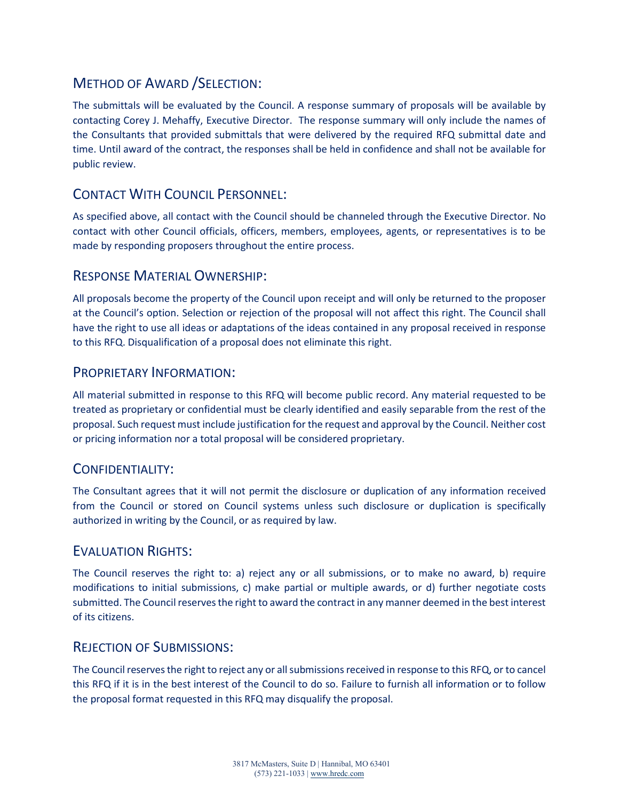## METHOD OF AWARD /SELECTION:

The submittals will be evaluated by the Council. A response summary of proposals will be available by contacting Corey J. Mehaffy, Executive Director. The response summary will only include the names of the Consultants that provided submittals that were delivered by the required RFQ submittal date and time. Until award of the contract, the responses shall be held in confidence and shall not be available for public review.

## CONTACT WITH COUNCIL PERSONNEL:

As specified above, all contact with the Council should be channeled through the Executive Director. No contact with other Council officials, officers, members, employees, agents, or representatives is to be made by responding proposers throughout the entire process.

## RESPONSE MATERIAL OWNERSHIP:

All proposals become the property of the Council upon receipt and will only be returned to the proposer at the Council's option. Selection or rejection of the proposal will not affect this right. The Council shall have the right to use all ideas or adaptations of the ideas contained in any proposal received in response to this RFQ. Disqualification of a proposal does not eliminate this right.

#### PROPRIETARY INFORMATION:

All material submitted in response to this RFQ will become public record. Any material requested to be treated as proprietary or confidential must be clearly identified and easily separable from the rest of the proposal. Such request must include justification for the request and approval by the Council. Neither cost or pricing information nor a total proposal will be considered proprietary.

## CONFIDENTIALITY:

The Consultant agrees that it will not permit the disclosure or duplication of any information received from the Council or stored on Council systems unless such disclosure or duplication is specifically authorized in writing by the Council, or as required by law.

## EVALUATION RIGHTS:

The Council reserves the right to: a) reject any or all submissions, or to make no award, b) require modifications to initial submissions, c) make partial or multiple awards, or d) further negotiate costs submitted. The Council reserves the right to award the contract in any manner deemed in the best interest of its citizens.

#### REJECTION OF SUBMISSIONS:

The Council reserves the right to reject any or all submissions received in response to this RFQ, or to cancel this RFQ if it is in the best interest of the Council to do so. Failure to furnish all information or to follow the proposal format requested in this RFQ may disqualify the proposal.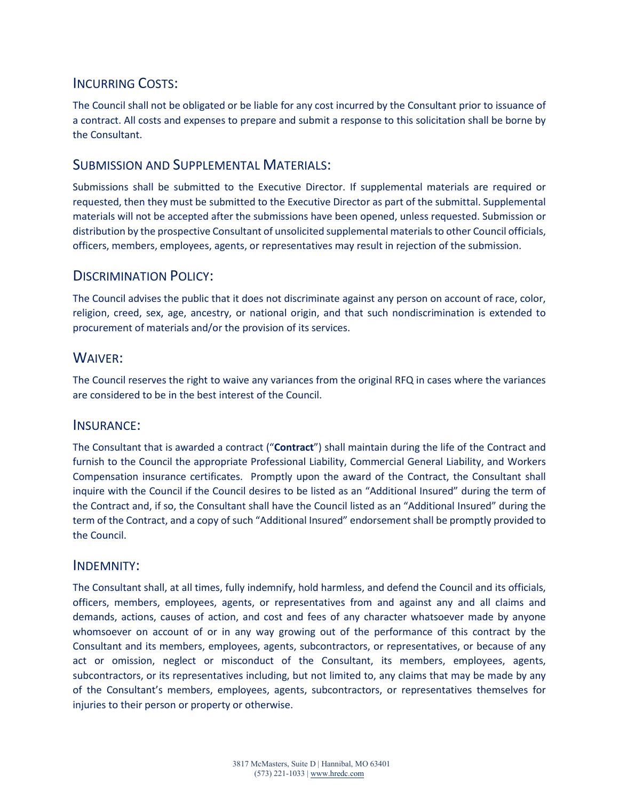## INCURRING COSTS:

The Council shall not be obligated or be liable for any cost incurred by the Consultant prior to issuance of a contract. All costs and expenses to prepare and submit a response to this solicitation shall be borne by the Consultant.

#### SUBMISSION AND SUPPLEMENTAL MATERIALS:

Submissions shall be submitted to the Executive Director. If supplemental materials are required or requested, then they must be submitted to the Executive Director as part of the submittal. Supplemental materials will not be accepted after the submissions have been opened, unless requested. Submission or distribution by the prospective Consultant of unsolicited supplemental materials to other Council officials, officers, members, employees, agents, or representatives may result in rejection of the submission.

## DISCRIMINATION POLICY:

The Council advises the public that it does not discriminate against any person on account of race, color, religion, creed, sex, age, ancestry, or national origin, and that such nondiscrimination is extended to procurement of materials and/or the provision of its services.

## WAIVER:

The Council reserves the right to waive any variances from the original RFQ in cases where the variances are considered to be in the best interest of the Council.

#### INSURANCE:

The Consultant that is awarded a contract ("**Contract**") shall maintain during the life of the Contract and furnish to the Council the appropriate Professional Liability, Commercial General Liability, and Workers Compensation insurance certificates. Promptly upon the award of the Contract, the Consultant shall inquire with the Council if the Council desires to be listed as an "Additional Insured" during the term of the Contract and, if so, the Consultant shall have the Council listed as an "Additional Insured" during the term of the Contract, and a copy of such "Additional Insured" endorsement shall be promptly provided to the Council.

#### INDEMNITY:

The Consultant shall, at all times, fully indemnify, hold harmless, and defend the Council and its officials, officers, members, employees, agents, or representatives from and against any and all claims and demands, actions, causes of action, and cost and fees of any character whatsoever made by anyone whomsoever on account of or in any way growing out of the performance of this contract by the Consultant and its members, employees, agents, subcontractors, or representatives, or because of any act or omission, neglect or misconduct of the Consultant, its members, employees, agents, subcontractors, or its representatives including, but not limited to, any claims that may be made by any of the Consultant's members, employees, agents, subcontractors, or representatives themselves for injuries to their person or property or otherwise.